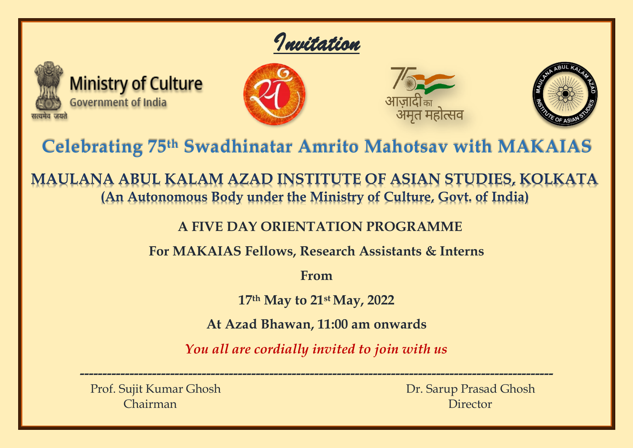



**Ministry of Culture Government of India** 







# **Celebrating 75th Swadhinatar Amrito Mahotsav with MAKAIAS**

**MAULANA ABUL KALAM AZAD INSTITUTE OF ASIAN STUDIES, KOLKATA (An Autonomous Body under the Ministry of Culture, Govt. of India)**

**A FIVE DAY ORIENTATION PROGRAMME**

**For MAKAIAS Fellows, Research Assistants & Interns**

**From**

**17th May to 21 st May, 2022**

**At Azad Bhawan, 11:00 am onwards**

*You all are cordially invited to join with us*

**---------------------------------------------------------------------------------------------------------**

Prof. Sujit Kumar Ghosh Dr. Sarup Prasad Ghosh Chairman Director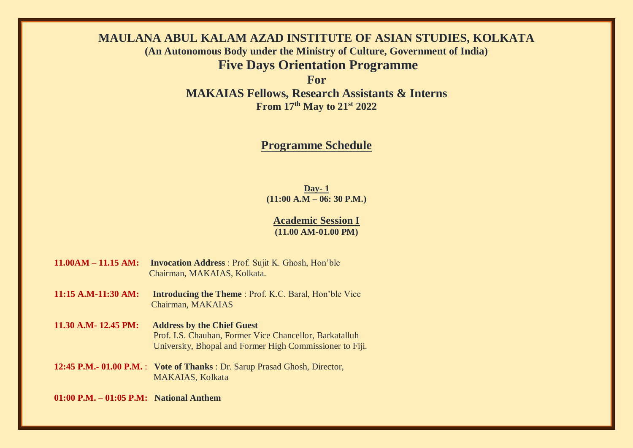# **MAULANA ABUL KALAM AZAD INSTITUTE OF ASIAN STUDIES, KOLKATA (An Autonomous Body under the Ministry of Culture, Government of India) Five Days Orientation Programme**

**For** 

**MAKAIAS Fellows, Research Assistants & Interns From 17th May to 21st 2022** 

# **Programme Schedule**

**Day- 1 (11:00 A.M – 06: 30 P.M.)**

**Academic Session I (11.00 AM-01.00 PM)**

- **11.00AM – 11.15 AM: Invocation Address** : Prof. Sujit K. Ghosh, Hon'ble Chairman, MAKAIAS, Kolkata.
- **11:15 A.M-11:30 AM: Introducing the Theme** : Prof. K.C. Baral, Hon'ble Vice Chairman, MAKAIAS
- **11.30 A.M- 12.45 PM: Address by the Chief Guest** Prof. I.S. Chauhan, Former Vice Chancellor, Barkatalluh University, Bhopal and Former High Commissioner to Fiji.
- **12:45 P.M.- 01.00 P.M.** : **Vote of Thanks** : Dr. Sarup Prasad Ghosh, Director, MAKAIAS, Kolkata

**01:00 P.M. – 01:05 P.M: National Anthem**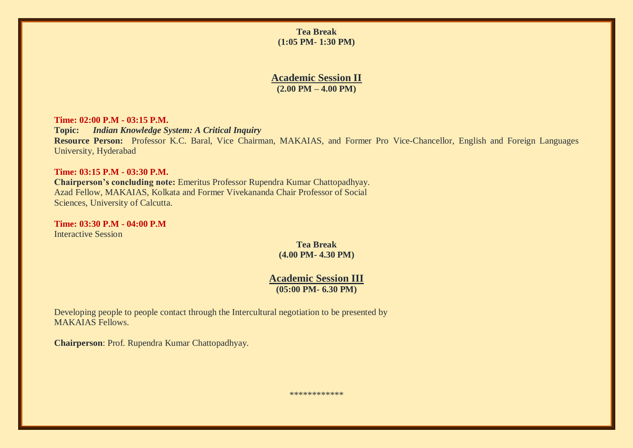**Tea Break (1:05 PM- 1:30 PM)** 

#### **Academic Session II (2.00 PM – 4.00 PM)**

**Time: 02:00 P.M - 03:15 P.M. Topic:** *Indian Knowledge System: A Critical Inquiry* **Resource Person:** Professor K.C. Baral, Vice Chairman, MAKAIAS, and Former Pro Vice-Chancellor, English and Foreign Languages University, Hyderabad

#### **Time: 03:15 P.M - 03:30 P.M.**

**Chairperson's concluding note:** Emeritus Professor Rupendra Kumar Chattopadhyay. Azad Fellow, MAKAIAS, Kolkata and Former Vivekananda Chair Professor of Social Sciences, University of Calcutta.

**Time: 03:30 P.M - 04:00 P.M** Interactive Session

> **Tea Break (4.00 PM- 4.30 PM)**

**Academic Session III (05:00 PM- 6.30 PM)** 

Developing people to people contact through the Intercultural negotiation to be presented by MAKAIAS Fellows.

**Chairperson**: Prof. Rupendra Kumar Chattopadhyay.

\*\*\*\*\*\*\*\*\*\*\*\*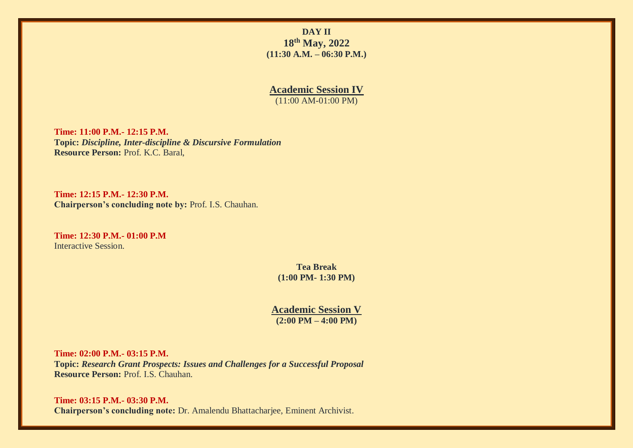**DAY II 18th May, 2022 (11:30 A.M. – 06:30 P.M.)**

**Academic Session IV** (11:00 AM-01:00 PM)

**Time: 11:00 P.M.- 12:15 P.M. Topic:** *Discipline, Inter-discipline & Discursive Formulation* **Resource Person:** Prof. K.C. Baral,

**Time: 12:15 P.M.- 12:30 P.M. Chairperson's concluding note by:** Prof. I.S. Chauhan.

**Time: 12:30 P.M.- 01:00 P.M** Interactive Session.

> **Tea Break (1:00 PM- 1:30 PM)**

**Academic Session V (2:00 PM – 4:00 PM)** 

**Time: 02:00 P.M.- 03:15 P.M. Topic:** *Research Grant Prospects: Issues and Challenges for a Successful Proposal* **Resource Person:** Prof. I.S. Chauhan.

**Time: 03:15 P.M.- 03:30 P.M. Chairperson's concluding note:** Dr. Amalendu Bhattacharjee, Eminent Archivist.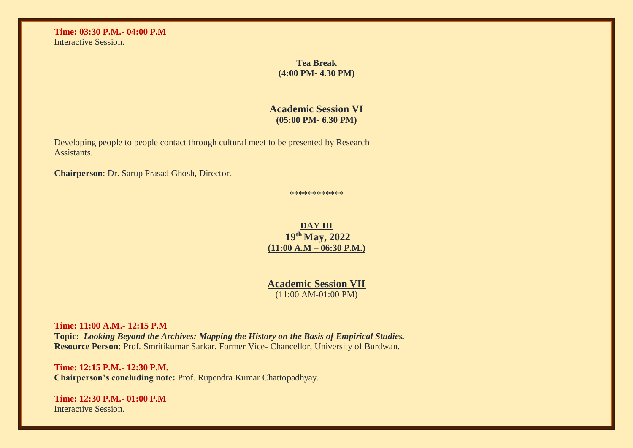**Time: 03:30 P.M.- 04:00 P.M** Interactive Session.

> **Tea Break (4:00 PM- 4.30 PM)**

#### **Academic Session VI (05:00 PM- 6.30 PM)**

Developing people to people contact through cultural meet to be presented by Research Assistants.

**Chairperson**: Dr. Sarup Prasad Ghosh, Director.

\*\*\*\*\*\*\*\*\*\*\*\*

# **DAY III 19th May, 2022 (11:00 A.M – 06:30 P.M.)**

**Academic Session VII** (11:00 AM-01:00 PM)

**Time: 11:00 A.M.- 12:15 P.M Topic:** *Looking Beyond the Archives: Mapping the History on the Basis of Empirical Studies.* **Resource Person**: Prof. Smritikumar Sarkar, Former Vice- Chancellor, University of Burdwan.

**Time: 12:15 P.M.- 12:30 P.M. Chairperson's concluding note:** Prof. Rupendra Kumar Chattopadhyay.

**Time: 12:30 P.M.- 01:00 P.M** Interactive Session.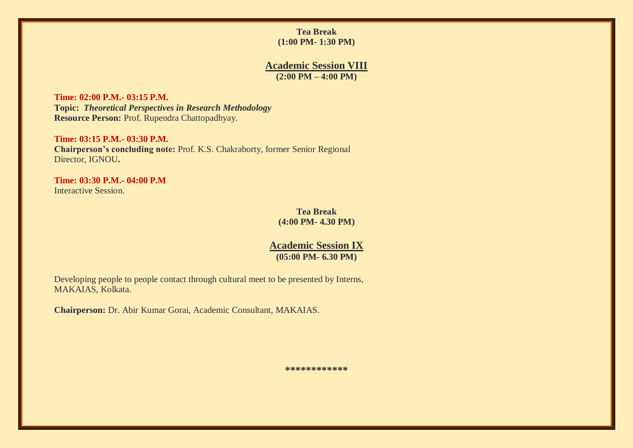# **Tea Break (1:00 PM- 1:30 PM)**

# **Academic Session VIII (2:00 PM – 4:00 PM)**

**Time: 02:00 P.M.- 03:15 P.M. Topic:** *Theoretical Perspectives in Research Methodology* **Resource Person:** Prof. Rupendra Chattopadhyay.

**Time: 03:15 P.M.- 03:30 P.M. Chairperson's concluding note:** Prof. K.S. Chakraborty, former Senior Regional Director, IGNOU**.**

**Time: 03:30 P.M.- 04:00 P.M** Interactive Session.

> **Tea Break (4:00 PM- 4.30 PM)**

#### **Academic Session IX (05:00 PM- 6.30 PM)**

Developing people to people contact through cultural meet to be presented by Interns, MAKAIAS, Kolkata.

**Chairperson:** Dr. Abir Kumar Gorai, Academic Consultant, MAKAIAS.

**\*\*\*\*\*\*\*\*\*\*\*\***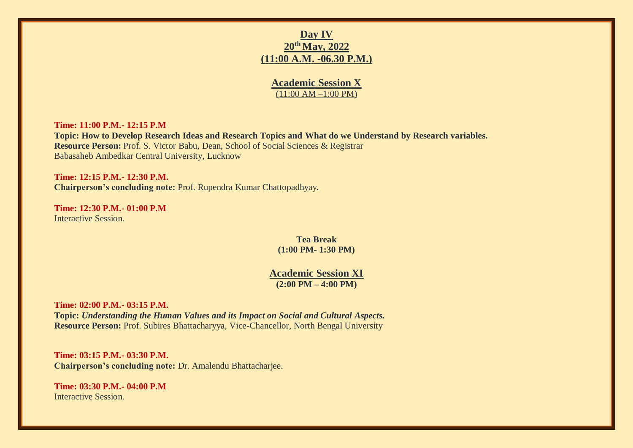# **Day IV 20th May, 2022 (11:00 A.M. -06.30 P.M.)**

# **Academic Session X** (11:00 AM –1:00 PM)

#### **Time: 11:00 P.M.- 12:15 P.M**

**Topic: How to Develop Research Ideas and Research Topics and What do we Understand by Research variables. Resource Person:** Prof. S. Victor Babu, Dean, School of Social Sciences & Registrar Babasaheb Ambedkar Central University, Lucknow

**Time: 12:15 P.M.- 12:30 P.M. Chairperson's concluding note:** Prof. Rupendra Kumar Chattopadhyay.

**Time: 12:30 P.M.- 01:00 P.M** Interactive Session.

> **Tea Break (1:00 PM- 1:30 PM)**

**Academic Session XI (2:00 PM – 4:00 PM)** 

**Time: 02:00 P.M.- 03:15 P.M. Topic:** *Understanding the Human Values and its Impact on Social and Cultural Aspects.* **Resource Person:** Prof. Subires Bhattacharyya, Vice-Chancellor, North Bengal University

**Time: 03:15 P.M.- 03:30 P.M. Chairperson's concluding note:** Dr. Amalendu Bhattacharjee.

**Time: 03:30 P.M.- 04:00 P.M** Interactive Session.